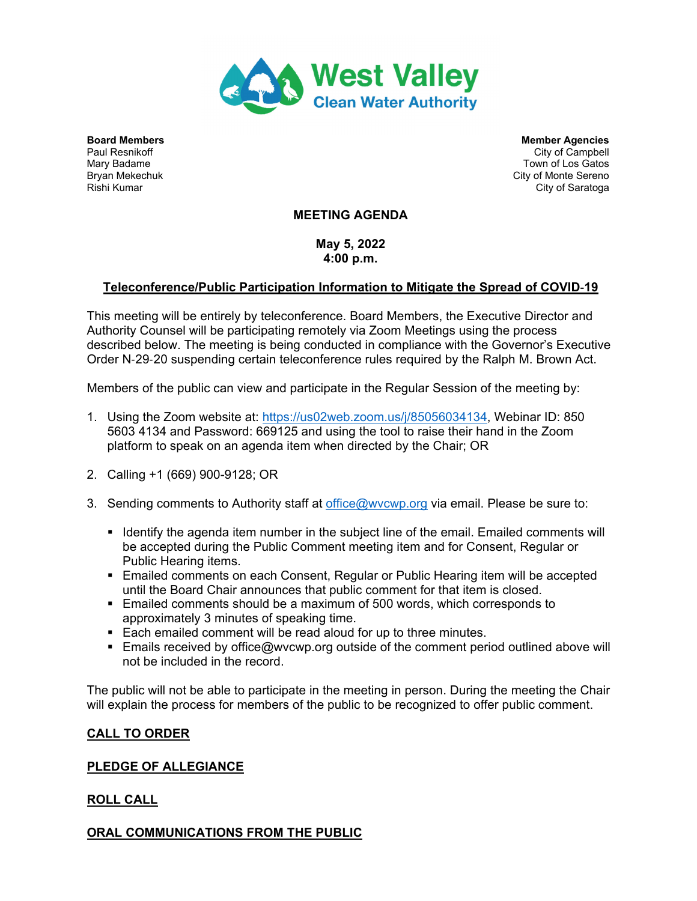

**Board Members Members Agencies Member Agencies Member Agencies** Paul Resnikoff **City of Campbell** City of Campbell **City of Campbell** Mary Badame Town of Los Gatos Bryan Mekechuk City of Monte Sereno (Bryan Mekechuk City of Monte Sereno (City of Monte Sereno (City of Saratog<br>Rishi Kumar City of Saratoga

# **MEETING AGENDA**

**May 5, 2022 4:00 p.m.** 

# **Teleconference/Public Participation Information to Mitigate the Spread of COVID**-**19**

This meeting will be entirely by teleconference. Board Members, the Executive Director and Authority Counsel will be participating remotely via Zoom Meetings using the process described below. The meeting is being conducted in compliance with the Governor's Executive Order N-29-20 suspending certain teleconference rules required by the Ralph M. Brown Act.

Members of the public can view and participate in the Regular Session of the meeting by:

- 1. Using the Zoom website at: https://us02web.zoom.us/j/85056034134, Webinar ID: 850 5603 4134 and Password: 669125 and using the tool to raise their hand in the Zoom platform to speak on an agenda item when directed by the Chair; OR
- 2. Calling +1 (669) 900-9128; OR
- 3. Sending comments to Authority staff at office@wvcwp.org via email. Please be sure to:
	- If Identify the agenda item number in the subject line of the email. Emailed comments will be accepted during the Public Comment meeting item and for Consent, Regular or Public Hearing items.
	- **Emailed comments on each Consent, Regular or Public Hearing item will be accepted** until the Board Chair announces that public comment for that item is closed.
	- Emailed comments should be a maximum of 500 words, which corresponds to approximately 3 minutes of speaking time.
	- Each emailed comment will be read aloud for up to three minutes.
	- **Emails received by office@wvcwp.org outside of the comment period outlined above will** not be included in the record.

The public will not be able to participate in the meeting in person. During the meeting the Chair will explain the process for members of the public to be recognized to offer public comment.

# **CALL TO ORDER**

# **PLEDGE OF ALLEGIANCE**

# **ROLL CALL**

# **ORAL COMMUNICATIONS FROM THE PUBLIC**